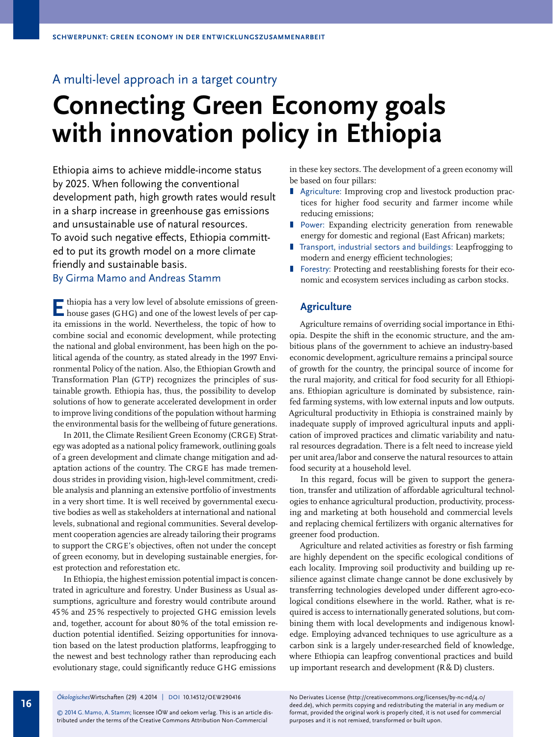# A multi-level approach in a target country

# **Connecting Green Economy goals with innovation policy in Ethiopia**

Ethiopia aims to achieve middle-income status by 2025. When following the conventional development path, high growth rates would result in a sharp increase in greenhouse gas emissions and unsustainable use of natural resources. To avoid such negative effects, Ethiopia committ ed to put its growth model on a more climate friendly and sustainable basis.

# By Girma Mamo and Andreas Stamm

**E** thiopia has a very low level of absolute emissions of green-<br>house gases (GHG) and one of the lowest levels of per capita emissions in the world. Nevertheless, the topic of how to combine social and economic development, while protecting the national and global environment, has been high on the political agenda of the country, as stated already in the 1997 Environmental Policy of the nation. Also, the Ethiopian Growth and Transformation Plan (GTP) recognizes the principles of sustainable growth. Ethiopia has, thus, the possibility to develop solutions of how to generate accelerated development in order to improve living conditions of the population without harming the environmental basis for the wellbeing of future generations.

In 2011, the Climate Resilient Green Economy (CRGE) Strategy was adopted as a national policy framework, outlining goals of a green development and climate change mitigation and adaptation actions of the country. The CRGE has made tremendous strides in providing vision, high-level commitment, credible analysis and planning an extensive portfolio of investments in a very short time. It is well received by governmental executive bodies as well as stakeholders at international and national levels, subnational and regional communities. Several development cooperation agencies are already tailoring their programs to support the CRGE's objectives, often not under the concept of green economy, but in developing sustainable energies, forest protection and reforestation etc.

In Ethiopia, the highest emission potential impact is concentrated in agriculture and forestry. Under Business as Usual assumptions, agriculture and forestry would contribute around 45 % and 25 % respectively to projected GHG emission levels and, together, account for about 80 % of the total emission reduction potential identified. Seizing opportunities for innovation based on the latest production platforms, leapfrogging to the newest and best technology rather than reproducing each evolutionary stage, could significantly reduce GHG emissions

in these key sectors. The development of a green economy will be based on four pillars:

- Agriculture: Improving crop and livestock production practices for higher food security and farmer income while reducing emissions;
- **Power: Expanding electricity generation from renewable** energy for domestic and regional (East African) markets;
- Transport, industrial sectors and buildings: Leapfrogging to modern and energy efficient technologies;
- **I** Forestry: Protecting and reestablishing forests for their economic and ecosystem services including as carbon stocks.

### **Agriculture**

Agriculture remains of overriding social importance in Ethiopia. Despite the shift in the economic structure, and the ambitious plans of the government to achieve an industry-based economic development, agriculture remains a principal source of growth for the country, the principal source of income for the rural majority, and critical for food security for all Ethiopians. Ethiopian agriculture is dominated by subsistence, rainfed farming systems, with low external inputs and low outputs. Agricultural productivity in Ethiopia is constrained mainly by inadequate supply of improved agricultural inputs and application of improved practices and climatic variability and natural resources degradation. There is a felt need to increase yield per unit area/labor and conserve the natural resources to attain food security at a household level.

In this regard, focus will be given to support the generation, transfer and utilization of affordable agricultural technologies to enhance agricultural production, productivity, processing and marketing at both household and commercial levels and replacing chemical fertilizers with organic alternatives for greener food production.

Agriculture and related activities as forestry or fish farming are highly dependent on the specific ecological conditions of each locality. Improving soil productivity and building up resilience against climate change cannot be done exclusively by transferring technologies developed under different agro-ecological conditions elsewhere in the world. Rather, what is required is access to internationally generated solutions, but combining them with local developments and indigenous knowledge. Employing advanced techniques to use agriculture as a carbon sink is a largely under-researched field of knowledge, where Ethiopia can leapfrog conventional practices and build up important research and development (R&D) clusters.

**16** *Ökologisches*Wirtschaften 4.2014 (29) *Ökologisches*Wirtschaften (29) 4.2014 | DOI 10.14512/OEW290416

© 2014 G. Mamo, A. Stamm; licensee IÖW and oekom verlag. This is an article distributed under the terms of the Creative Commons Attribution Non- Commercial

deed.de), which permits copying and redistributing the material in any medium or No Derivates License (http://creativecommons.org/licenses/by-nc-nd/4.0/ format, provided the original work is properly cited, it is not used for commercial purposes and it is not remixed, transformed or built upon.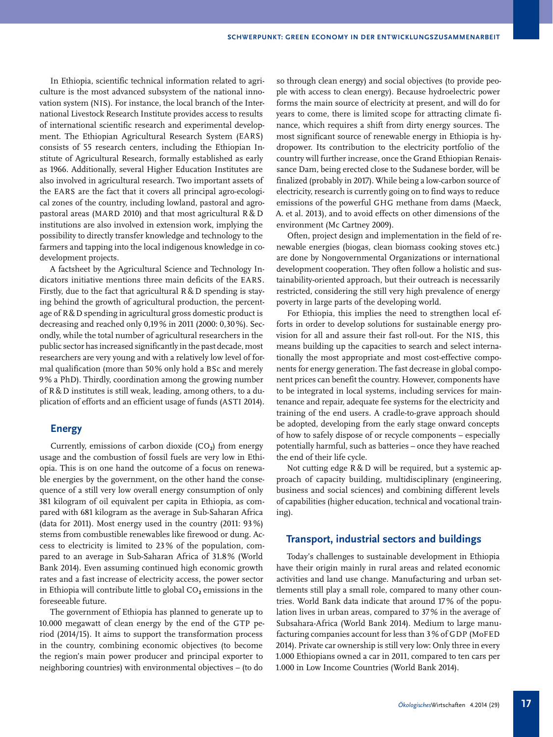In Ethiopia, scientific technical information related to agriculture is the most advanced subsystem of the national innovation system (NIS). For instance, the local branch of the International Livestock Research Institute provides access to results of international scientific research and experimental development. The Ethiopian Agricultural Research System (EARS) consists of 55 research centers, including the Ethiopian Institute of Agricultural Research, formally established as early as 1966. Additionally, several Higher Education Institutes are also involved in agricultural research. Two important assets of the EARS are the fact that it covers all principal agro-ecological zones of the country, including lowland, pastoral and agropastoral areas (MARD 2010) and that most agricultural R & D institutions are also involved in extension work, implying the possibility to directly transfer knowledge and technology to the farmers and tapping into the local indigenous knowledge in codevelopment projects.

A factsheet by the Agricultural Science and Technology Indicators initiative mentions three main deficits of the EARS. Firstly, due to the fact that agricultural  $R & D$  spending is staying behind the growth of agricultural production, the percentage of R&D spending in agricultural gross domestic product is decreasing and reached only 0,19 % in 2011 (2000: 0,30 %). Secondly, while the total number of agricultural researchers in the public sector has increased significantly in the past decade, most researchers are very young and with a relatively low level of formal qualification (more than 50 % only hold a BSc and merely 9 % a PhD). Thirdly, coordination among the growing number of R&D institutes is still weak, leading, among others, to a duplication of efforts and an efficient usage of funds (ASTI 2014).

#### **Energy**

Currently, emissions of carbon dioxide  $(CO<sub>2</sub>)$  from energy usage and the combustion of fossil fuels are very low in Ethiopia. This is on one hand the outcome of a focus on renewable energies by the government, on the other hand the consequence of a still very low overall energy consumption of only 381 kilogram of oil equivalent per capita in Ethiopia, as compared with 681 kilogram as the average in Sub-Saharan Africa (data for 2011). Most energy used in the country (2011: 93 %) stems from combustible renewables like firewood or dung. Access to electricity is limited to 23 % of the population, compared to an average in Sub-Saharan Africa of 31.8 % (World Bank 2014). Even assuming continued high economic growth rates and a fast increase of electricity access, the power sector in Ethiopia will contribute little to global  $CO<sub>2</sub>$  emissions in the foreseeable future.

The government of Ethiopia has planned to generate up to 10.000 megawatt of clean energy by the end of the GTP period (2014/15). It aims to support the transformation process in the country, combining economic objectives (to become the region's main power producer and principal exporter to neighboring countries) with environmental objectives – (to do

so through clean energy) and social objectives (to provide people with access to clean energy). Because hydroelectric power forms the main source of electricity at present, and will do for years to come, there is limited scope for attracting climate finance, which requires a shift from dirty energy sources. The most significant source of renewable energy in Ethiopia is hydropower. Its contribution to the electricity portfolio of the country will further increase, once the Grand Ethiopian Renaissance Dam, being erected close to the Sudanese border, will be finalized (probably in 2017). While being a low-carbon source of electricity, research is currently going on to find ways to reduce emissions of the powerful GHG methane from dams (Maeck, A. et al. 2013), and to avoid effects on other dimensions of the environment (Mc Cartney 2009).

Often, project design and implementation in the field of renewable energies (biogas, clean biomass cooking stoves etc.) are done by Nongovernmental Organizations or international development cooperation. They often follow a holistic and sustainability-oriented approach, but their outreach is necessarily restricted, considering the still very high prevalence of energy poverty in large parts of the developing world.

For Ethiopia, this implies the need to strengthen local efforts in order to develop solutions for sustainable energy provision for all and assure their fast roll-out. For the NIS, this means building up the capacities to search and select internationally the most appropriate and most cost-effective components for energy generation. The fast decrease in global component prices can benefit the country. However, components have to be integrated in local systems, including services for maintenance and repair, adequate fee systems for the electricity and training of the end users. A cradle-to-grave approach should be adopted, developing from the early stage onward concepts of how to safely dispose of or recycle components – especially potentially harmful, such as batteries – once they have reached the end of their life cycle.

Not cutting edge R & D will be required, but a systemic approach of capacity building, multidisciplinary (engineering, business and social sciences) and combining different levels of capabilities (higher education, technical and vocational training).

## **Transport, industrial sectors and buildings**

Today's challenges to sustainable development in Ethiopia have their origin mainly in rural areas and related economic activities and land use change. Manufacturing and urban settlements still play a small role, compared to many other countries. World Bank data indicate that around 17 % of the population lives in urban areas, compared to 37 % in the average of Subsahara-Africa (World Bank 2014). Medium to large manufacturing companies account for less than 3 % of GDP (MoFED 2014). Private car ownership is still very low: Only three in every 1.000 Ethiopians owned a car in 2011, compared to ten cars per 1.000 in Low Income Countries (World Bank 2014).